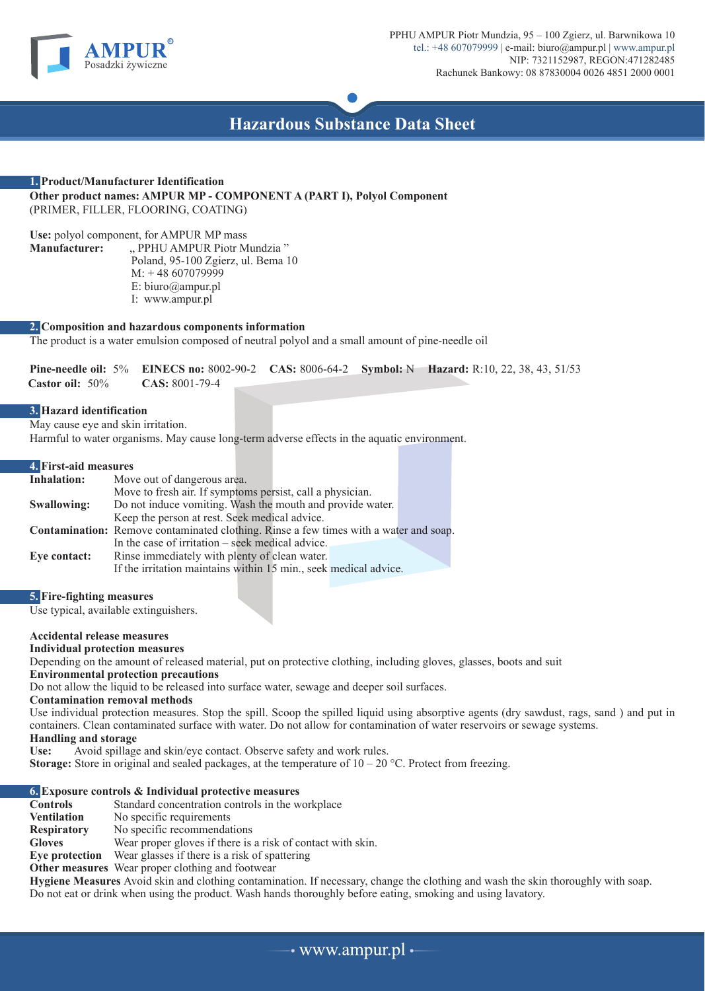



# **1. Product/Manufacturer Identification Other product names: AMPUR MP - COMPONENT A (PART I), Polyol Component** (PRIMER, FILLER, FLOORING, COATING)

Use: polyol component, for AMPUR MP mass<br>**Manufacturer:** , PPHU AMPUR Piotr M " PPHU AMPUR Piotr Mundzia" Poland, 95-100 Zgierz, ul. Bema 10 M: + 48 607079999 E: biuro@ampur.pl I: www.ampur.pl

# **2. Composition and hazardous components information**

The product is a water emulsion composed of neutral polyol and a small amount of pine-needle oil

**Pine-needle oil:** 5% **EINECS no:** 8002-90-2 **CAS:** 8006-64-2 **Symbol:** N **Hazard:** R:10, 22, 38, 43, 51/53  **Castor oil:** 50% **CAS:** 8001-79-4

# **3. Hazard identification**

May cause eye and skin irritation.

Harmful to water organisms. May cause long-term adverse effects in the aquatic environment.

### **4. First-aid measures**

| Inhalation:  | Move out of dangerous area.                                                                  |  |
|--------------|----------------------------------------------------------------------------------------------|--|
|              | Move to fresh air. If symptoms persist, call a physician.                                    |  |
| Swallowing:  | Do not induce vomiting. Wash the mouth and provide water.                                    |  |
|              | Keep the person at rest. Seek medical advice.                                                |  |
|              | <b>Contamination:</b> Remove contaminated clothing. Rinse a few times with a water and soap. |  |
|              | In the case of irritation $-$ seek medical advice.                                           |  |
| Eye contact: | Rinse immediately with plenty of clean water.                                                |  |
|              | If the irritation maintains within 15 min., seek medical advice.                             |  |

# **5. Fire-fighting measures**

Use typical, available extinguishers.

### **Accidental release measures**

### **Individual protection measures**

Depending on the amount of released material, put on protective clothing, including gloves, glasses, boots and suit

**Environmental protection precautions**

Do not allow the liquid to be released into surface water, sewage and deeper soil surfaces.

### **Contamination removal methods**

Use individual protection measures. Stop the spill. Scoop the spilled liquid using absorptive agents (dry sawdust, rags, sand ) and put in containers. Clean contaminated surface with water. Do not allow for contamination of water reservoirs or sewage systems. **Handling and storage**

**Use:** Avoid spillage and skin/eye contact. Observe safety and work rules.

**Storage:** Store in original and sealed packages, at the temperature of  $10 - 20$  °C. Protect from freezing.

- **6. Exposure controls & Individual protective measures** Standard concentration controls in the workplace
- 
- **Ventilation** No specific requirements<br> **Respiratory** No specific recommendat No specific recommendations

**Gloves** Wear proper gloves if there is a risk of contact with skin.<br>**Eve protection** Wear glasses if there is a risk of spattering

Wear glasses if there is a risk of spattering

**Other measures** Wear proper clothing and footwear

**Hygiene Measures** Avoid skin and clothing contamination. If necessary, change the clothing and wash the skin thoroughly with soap. Do not eat or drink when using the product. Wash hands thoroughly before eating, smoking and using lavatory.